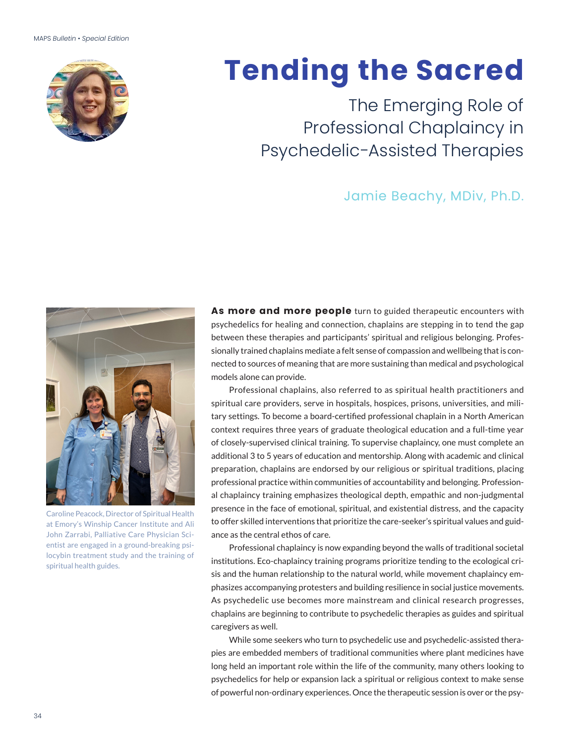

# **Tending the Sacred**

The Emerging Role of Professional Chaplaincy in Psychedelic-Assisted Therapies

# Jamie Beachy, MDiv, Ph.D.



Caroline Peacock, Director of Spiritual Health at Emory's Winship Cancer Institute and Ali John Zarrabi, Palliative Care Physician Scientist are engaged in a ground-breaking psilocybin treatment study and the training of spiritual health guides.

As more and more people turn to guided therapeutic encounters with psychedelics for healing and connection, chaplains are stepping in to tend the gap between these therapies and participants' spiritual and religious belonging. Professionally trained chaplains mediate a felt sense of compassion and wellbeing that is connected to sources of meaning that are more sustaining than medical and psychological models alone can provide.

Professional chaplains, also referred to as spiritual health practitioners and spiritual care providers, serve in hospitals, hospices, prisons, universities, and military settings. To become a board-certified professional chaplain in a North American context requires three years of graduate theological education and a full-time year of closely-supervised clinical training. To supervise chaplaincy, one must complete an additional 3 to 5 years of education and mentorship. Along with academic and clinical preparation, chaplains are endorsed by our religious or spiritual traditions, placing professional practice within communities of accountability and belonging. Professional chaplaincy training emphasizes theological depth, empathic and non-judgmental presence in the face of emotional, spiritual, and existential distress, and the capacity to offer skilled interventions that prioritize the care-seeker's spiritual values and guidance as the central ethos of care.

Professional chaplaincy is now expanding beyond the walls of traditional societal institutions. Eco-chaplaincy training programs prioritize tending to the ecological crisis and the human relationship to the natural world, while movement chaplaincy emphasizes accompanying protesters and building resilience in social justice movements. As psychedelic use becomes more mainstream and clinical research progresses, chaplains are beginning to contribute to psychedelic therapies as guides and spiritual caregivers as well.

While some seekers who turn to psychedelic use and psychedelic-assisted therapies are embedded members of traditional communities where plant medicines have long held an important role within the life of the community, many others looking to psychedelics for help or expansion lack a spiritual or religious context to make sense of powerful non-ordinary experiences. Once the therapeutic session is over or the psy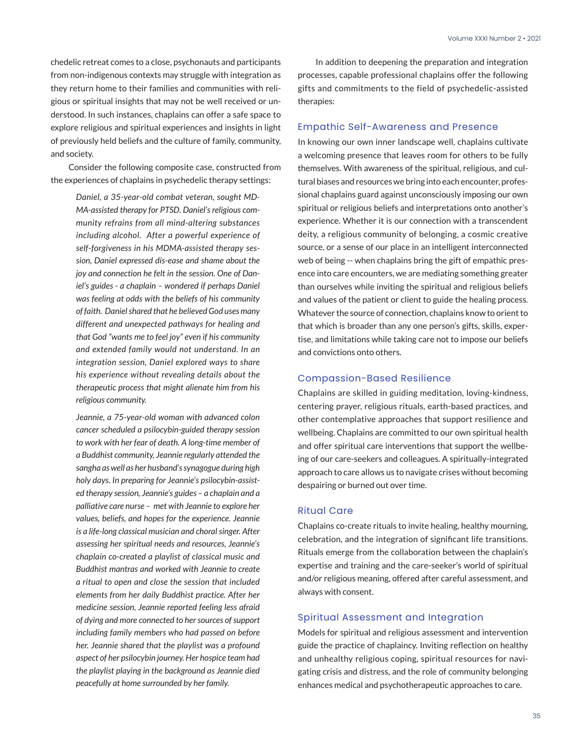chedelic retreat comes to a close, psychonauts and participants from non-indigenous contexts may struggle with integration as they return home to their families and communities with religious or spiritual insights that may not be well received or understood. In such instances, chaplains can offer a safe space to explore religious and spiritual experiences and insights in light of previously held beliefs and the culture of family, community, and society.

Consider the following composite case, constructed from the experiences of chaplains in psychedelic therapy settings:

> *Daniel, a 35-year-old combat veteran, sought MD-MA-assisted therapy for PTSD. Daniel's religious community refrains from all mind-altering substances including alcohol. After a powerful experience of self-forgiveness in his MDMA-assisted therapy session, Daniel expressed dis-ease and shame about the joy and connection he felt in the session. One of Daniel's guides - a chaplain – wondered if perhaps Daniel was feeling at odds with the beliefs of his community of faith. Daniel shared that he believed God uses many different and unexpected pathways for healing and that God "wants me to feel joy" even if his community and extended family would not understand. In an integration session, Daniel explored ways to share his experience without revealing details about the therapeutic process that might alienate him from his religious community.*

> *Jeannie, a 75-year-old woman with advanced colon cancer scheduled a psilocybin-guided therapy session to work with her fear of death. A long-time member of a Buddhist community, Jeannie regularly attended the sangha as well as her husband's synagogue during high holy days. In preparing for Jeannie's psilocybin-assisted therapy session, Jeannie's guides – a chaplain and a palliative care nurse – met with Jeannie to explore her values, beliefs, and hopes for the experience. Jeannie is a life-long classical musician and choral singer. After assessing her spiritual needs and resources, Jeannie's chaplain co-created a playlist of classical music and Buddhist mantras and worked with Jeannie to create a ritual to open and close the session that included elements from her daily Buddhist practice. After her medicine session, Jeannie reported feeling less afraid of dying and more connected to her sources of support including family members who had passed on before her. Jeannie shared that the playlist was a profound aspect of her psilocybin journey. Her hospice team had the playlist playing in the background as Jeannie died peacefully at home surrounded by her family.*

In addition to deepening the preparation and integration processes, capable professional chaplains offer the following gifts and commitments to the field of psychedelic-assisted therapies:

### Empathic Self-Awareness and Presence

In knowing our own inner landscape well, chaplains cultivate a welcoming presence that leaves room for others to be fully themselves. With awareness of the spiritual, religious, and cultural biases and resources we bring into each encounter, professional chaplains guard against unconsciously imposing our own spiritual or religious beliefs and interpretations onto another's experience. Whether it is our connection with a transcendent deity, a religious community of belonging, a cosmic creative source, or a sense of our place in an intelligent interconnected web of being -- when chaplains bring the gift of empathic presence into care encounters, we are mediating something greater than ourselves while inviting the spiritual and religious beliefs and values of the patient or client to guide the healing process. Whatever the source of connection, chaplains know to orient to that which is broader than any one person's gifts, skills, expertise, and limitations while taking care not to impose our beliefs and convictions onto others.

# Compassion-Based Resilience

Chaplains are skilled in guiding meditation, loving-kindness, centering prayer, religious rituals, earth-based practices, and other contemplative approaches that support resilience and wellbeing. Chaplains are committed to our own spiritual health and offer spiritual care interventions that support the wellbeing of our care-seekers and colleagues. A spiritually-integrated approach to care allows us to navigate crises without becoming despairing or burned out over time.

### Ritual Care

Chaplains co-create rituals to invite healing, healthy mourning, celebration, and the integration of significant life transitions. Rituals emerge from the collaboration between the chaplain's expertise and training and the care-seeker's world of spiritual and/or religious meaning, offered after careful assessment, and always with consent.

#### Spiritual Assessment and Integration

Models for spiritual and religious assessment and intervention guide the practice of chaplaincy. Inviting reflection on healthy and unhealthy religious coping, spiritual resources for navigating crisis and distress, and the role of community belonging enhances medical and psychotherapeutic approaches to care.